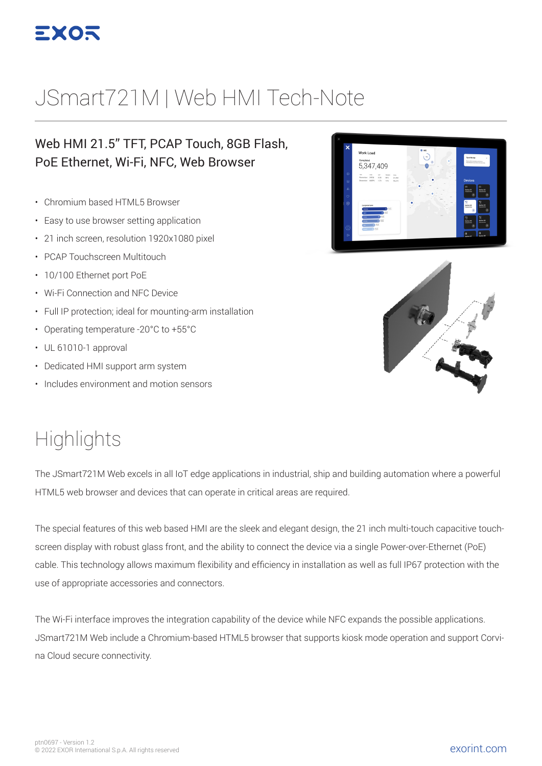

## JSmart721M | Web HMI Tech-Note

#### Web HMI 21.5" TFT, PCAP Touch, 8GB Flash, PoE Ethernet, Wi-Fi, NFC, Web Browser

- Chromium based HTML5 Browser
- Easy to use browser setting application
- 21 inch screen, resolution 1920x1080 pixel
- PCAP Touchscreen Multitouch
- 10/100 Ethernet port PoE
- Wi-Fi Connection and NFC Device
- Full IP protection; ideal for mounting-arm installation
- Operating temperature -20°C to +55°C
- UL 61010-1 approval
- Dedicated HMI support arm system
- Includes environment and motion sensors

# Work Load 5.347.409 -<br>November 2000 - O.St - Bank - 21,50<br>December 6000 - 1-11 - 1-12 - 84,71



#### **Highlights**

The JSmart721M Web excels in all IoT edge applications in industrial, ship and building automation where a powerful HTML5 web browser and devices that can operate in critical areas are required.

The special features of this web based HMI are the sleek and elegant design, the 21 inch multi-touch capacitive touchscreen display with robust glass front, and the ability to connect the device via a single Power-over-Ethernet (PoE) cable. This technology allows maximum flexibility and efficiency in installation as well as full IP67 protection with the use of appropriate accessories and connectors.

The Wi-Fi interface improves the integration capability of the device while NFC expands the possible applications. JSmart721M Web include a Chromium-based HTML5 browser that supports kiosk mode operation and support Corvina Cloud secure connectivity.